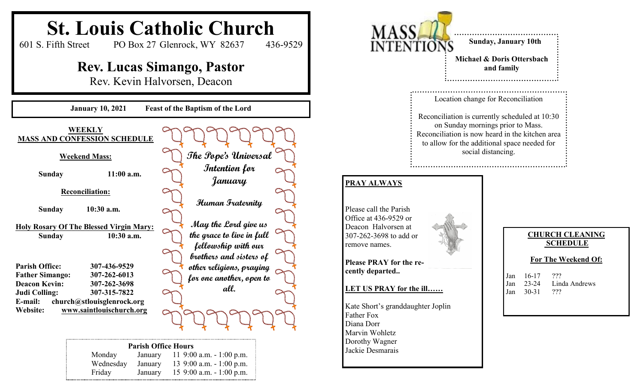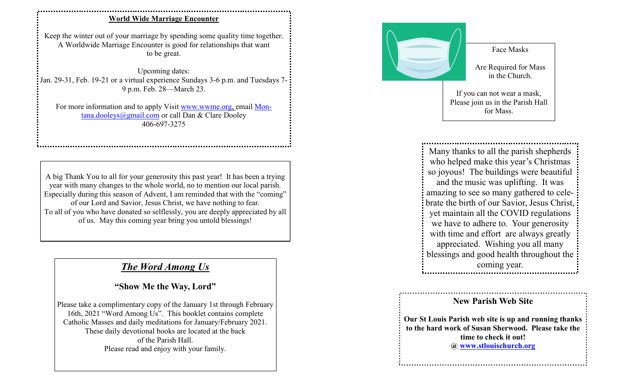## **World Wide Marriage Encounter**

Keep the winter out of your marriage by spending some quality time together. A Worldwide Marriage Encounter is good for relationships that want to be great.

Upcoming dates: Jan. 29-31, Feb. 19-21 or a virtual experience Sundays 3-6 p.m. and Tuesdays 7- 9 p.m. Feb. 28—March 23.

For more information and to apply Visit www.wwme.org, email Montana.dooleys@gmail.com or call Dan & Clare Dooley 406-697-3275

A big Thank You to all for your generosity this past year! It has been a trying year with many changes to the whole world, no to mention our local parish. Especially during this season of Advent, I am reminded that with the "coming" of our Lord and Savior, Jesus Christ, we have nothing to fear. To all of you who have donated so selflessly, you are deeply appreciated by all of us. May this coming year bring you untold blessings!

## *The Word Among Us*

## **"Show Me the Way, Lord"**

Please take a complimentary copy of the January 1st through February 16th, 2021 "Word Among Us". This booklet contains complete Catholic Masses and daily meditations for January/February 2021. These daily devotional books are located at the back of the Parish Hall. Please read and enjoy with your family.



Face Masks

Are Required for Mass in the Church.

If you can not wear a mask, Please join us in the Parish Hall for Mass.

Many thanks to all the parish shepherds who helped make this year's Christmas so joyous! The buildings were beautiful and the music was uplifting. It was amazing to see so many gathered to celebrate the birth of our Savior, Jesus Christ, yet maintain all the COVID regulations we have to adhere to. Your generosity with time and effort are always greatly appreciated. Wishing you all many blessings and good health throughout the coming year.

## **New Parish Web Site**

**Our St Louis Parish web site is up and running thanks to the hard work of Susan Sherwood. Please take the time to check it out! @ www.stlouischurch.org**